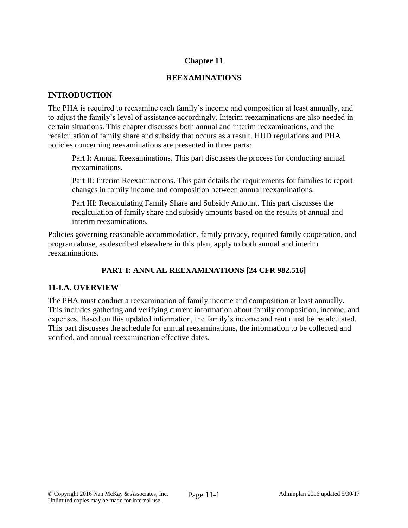## **Chapter 11**

## **REEXAMINATIONS**

## **INTRODUCTION**

The PHA is required to reexamine each family's income and composition at least annually, and to adjust the family's level of assistance accordingly. Interim reexaminations are also needed in certain situations. This chapter discusses both annual and interim reexaminations, and the recalculation of family share and subsidy that occurs as a result. HUD regulations and PHA policies concerning reexaminations are presented in three parts:

Part I: Annual Reexaminations. This part discusses the process for conducting annual reexaminations.

Part II: Interim Reexaminations. This part details the requirements for families to report changes in family income and composition between annual reexaminations.

Part III: Recalculating Family Share and Subsidy Amount. This part discusses the recalculation of family share and subsidy amounts based on the results of annual and interim reexaminations.

Policies governing reasonable accommodation, family privacy, required family cooperation, and program abuse, as described elsewhere in this plan, apply to both annual and interim reexaminations.

# **PART I: ANNUAL REEXAMINATIONS [24 CFR 982.516]**

# **11-I.A. OVERVIEW**

The PHA must conduct a reexamination of family income and composition at least annually. This includes gathering and verifying current information about family composition, income, and expenses. Based on this updated information, the family's income and rent must be recalculated. This part discusses the schedule for annual reexaminations, the information to be collected and verified, and annual reexamination effective dates.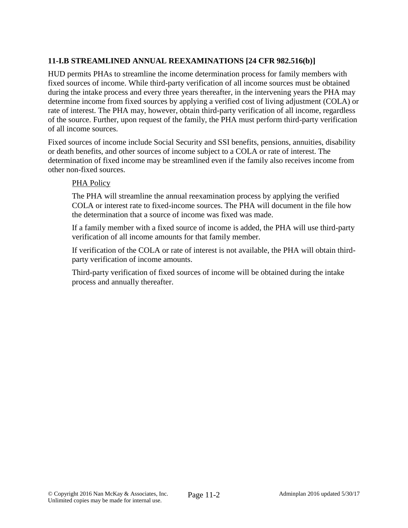# **11-I.B STREAMLINED ANNUAL REEXAMINATIONS [24 CFR 982.516(b)]**

HUD permits PHAs to streamline the income determination process for family members with fixed sources of income. While third-party verification of all income sources must be obtained during the intake process and every three years thereafter, in the intervening years the PHA may determine income from fixed sources by applying a verified cost of living adjustment (COLA) or rate of interest. The PHA may, however, obtain third-party verification of all income, regardless of the source. Further, upon request of the family, the PHA must perform third-party verification of all income sources.

Fixed sources of income include Social Security and SSI benefits, pensions, annuities, disability or death benefits, and other sources of income subject to a COLA or rate of interest. The determination of fixed income may be streamlined even if the family also receives income from other non-fixed sources.

#### PHA Policy

The PHA will streamline the annual reexamination process by applying the verified COLA or interest rate to fixed-income sources. The PHA will document in the file how the determination that a source of income was fixed was made.

If a family member with a fixed source of income is added, the PHA will use third-party verification of all income amounts for that family member.

If verification of the COLA or rate of interest is not available, the PHA will obtain thirdparty verification of income amounts.

Third-party verification of fixed sources of income will be obtained during the intake process and annually thereafter.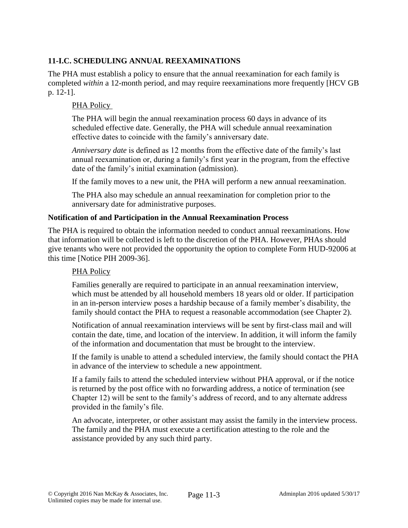# **11-I.C. SCHEDULING ANNUAL REEXAMINATIONS**

The PHA must establish a policy to ensure that the annual reexamination for each family is completed *within* a 12-month period, and may require reexaminations more frequently [HCV GB p. 12-1].

#### PHA Policy

The PHA will begin the annual reexamination process 60 days in advance of its scheduled effective date. Generally, the PHA will schedule annual reexamination effective dates to coincide with the family's anniversary date.

*Anniversary date* is defined as 12 months from the effective date of the family's last annual reexamination or, during a family's first year in the program, from the effective date of the family's initial examination (admission).

If the family moves to a new unit, the PHA will perform a new annual reexamination.

The PHA also may schedule an annual reexamination for completion prior to the anniversary date for administrative purposes.

#### **Notification of and Participation in the Annual Reexamination Process**

The PHA is required to obtain the information needed to conduct annual reexaminations. How that information will be collected is left to the discretion of the PHA. However, PHAs should give tenants who were not provided the opportunity the option to complete Form HUD-92006 at this time [Notice PIH 2009-36].

### PHA Policy

Families generally are required to participate in an annual reexamination interview, which must be attended by all household members 18 years old or older. If participation in an in-person interview poses a hardship because of a family member's disability, the family should contact the PHA to request a reasonable accommodation (see Chapter 2).

Notification of annual reexamination interviews will be sent by first-class mail and will contain the date, time, and location of the interview. In addition, it will inform the family of the information and documentation that must be brought to the interview.

If the family is unable to attend a scheduled interview, the family should contact the PHA in advance of the interview to schedule a new appointment.

If a family fails to attend the scheduled interview without PHA approval, or if the notice is returned by the post office with no forwarding address, a notice of termination (see Chapter 12) will be sent to the family's address of record, and to any alternate address provided in the family's file.

An advocate, interpreter, or other assistant may assist the family in the interview process. The family and the PHA must execute a certification attesting to the role and the assistance provided by any such third party.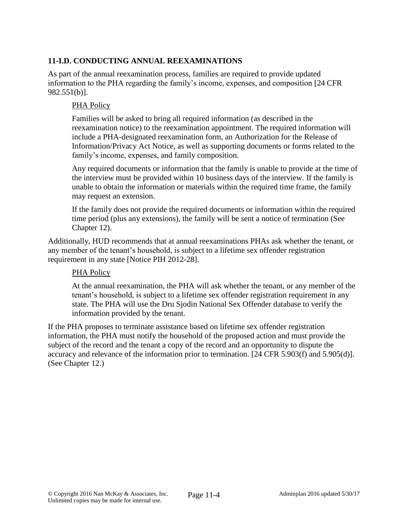# **11-I.D. CONDUCTING ANNUAL REEXAMINATIONS**

As part of the annual reexamination process, families are required to provide updated information to the PHA regarding the family's income, expenses, and composition [24 CFR 982.551(b)].

#### PHA Policy

Families will be asked to bring all required information (as described in the reexamination notice) to the reexamination appointment. The required information will include a PHA-designated reexamination form, an Authorization for the Release of Information/Privacy Act Notice, as well as supporting documents or forms related to the family's income, expenses, and family composition.

Any required documents or information that the family is unable to provide at the time of the interview must be provided within 10 business days of the interview. If the family is unable to obtain the information or materials within the required time frame, the family may request an extension.

If the family does not provide the required documents or information within the required time period (plus any extensions), the family will be sent a notice of termination (See Chapter 12).

Additionally, HUD recommends that at annual reexaminations PHAs ask whether the tenant, or any member of the tenant's household, is subject to a lifetime sex offender registration requirement in any state [Notice PIH 2012-28].

#### PHA Policy

At the annual reexamination, the PHA will ask whether the tenant, or any member of the tenant's household, is subject to a lifetime sex offender registration requirement in any state. The PHA will use the Dru Sjodin National Sex Offender database to verify the information provided by the tenant.

If the PHA proposes to terminate assistance based on lifetime sex offender registration information, the PHA must notify the household of the proposed action and must provide the subject of the record and the tenant a copy of the record and an opportunity to dispute the accuracy and relevance of the information prior to termination. [24 CFR 5.903(f) and 5.905(d)]. (See Chapter 12.)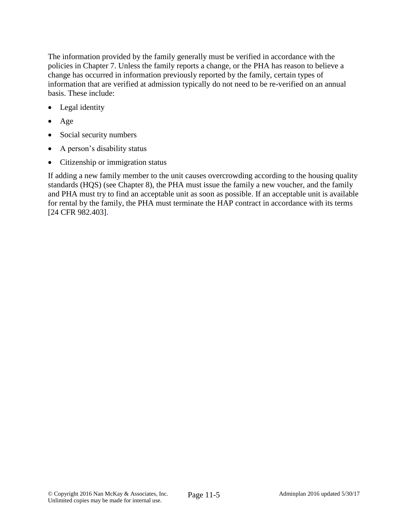The information provided by the family generally must be verified in accordance with the policies in Chapter 7. Unless the family reports a change, or the PHA has reason to believe a change has occurred in information previously reported by the family, certain types of information that are verified at admission typically do not need to be re-verified on an annual basis. These include:

- Legal identity
- Age
- Social security numbers
- A person's disability status
- Citizenship or immigration status

If adding a new family member to the unit causes overcrowding according to the housing quality standards (HQS) (see Chapter 8), the PHA must issue the family a new voucher, and the family and PHA must try to find an acceptable unit as soon as possible. If an acceptable unit is available for rental by the family, the PHA must terminate the HAP contract in accordance with its terms [24 CFR 982.403].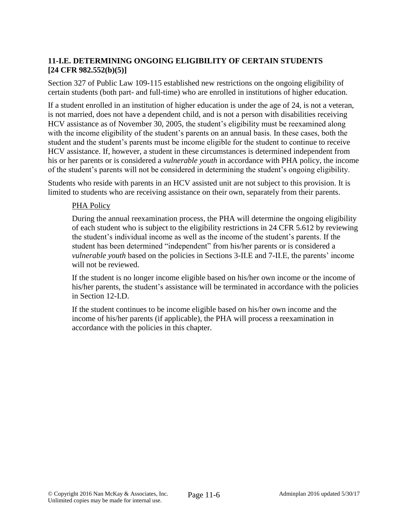## **11-I.E. DETERMINING ONGOING ELIGIBILITY OF CERTAIN STUDENTS [24 CFR 982.552(b)(5)]**

Section 327 of Public Law 109-115 established new restrictions on the ongoing eligibility of certain students (both part- and full-time) who are enrolled in institutions of higher education.

If a student enrolled in an institution of higher education is under the age of 24, is not a veteran, is not married, does not have a dependent child, and is not a person with disabilities receiving HCV assistance as of November 30, 2005, the student's eligibility must be reexamined along with the income eligibility of the student's parents on an annual basis. In these cases, both the student and the student's parents must be income eligible for the student to continue to receive HCV assistance. If, however, a student in these circumstances is determined independent from his or her parents or is considered a *vulnerable youth* in accordance with PHA policy, the income of the student's parents will not be considered in determining the student's ongoing eligibility.

Students who reside with parents in an HCV assisted unit are not subject to this provision. It is limited to students who are receiving assistance on their own, separately from their parents.

### PHA Policy

During the annual reexamination process, the PHA will determine the ongoing eligibility of each student who is subject to the eligibility restrictions in 24 CFR 5.612 by reviewing the student's individual income as well as the income of the student's parents. If the student has been determined "independent" from his/her parents or is considered a *vulnerable youth* based on the policies in Sections 3-II.E and 7-II.E, the parents' income will not be reviewed.

If the student is no longer income eligible based on his/her own income or the income of his/her parents, the student's assistance will be terminated in accordance with the policies in Section 12-I.D.

If the student continues to be income eligible based on his/her own income and the income of his/her parents (if applicable), the PHA will process a reexamination in accordance with the policies in this chapter.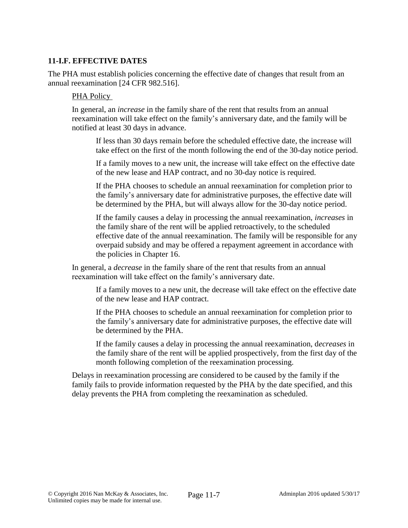### **11-I.F. EFFECTIVE DATES**

The PHA must establish policies concerning the effective date of changes that result from an annual reexamination [24 CFR 982.516].

#### PHA Policy

In general, an *increase* in the family share of the rent that results from an annual reexamination will take effect on the family's anniversary date, and the family will be notified at least 30 days in advance.

If less than 30 days remain before the scheduled effective date, the increase will take effect on the first of the month following the end of the 30-day notice period.

If a family moves to a new unit, the increase will take effect on the effective date of the new lease and HAP contract, and no 30-day notice is required.

If the PHA chooses to schedule an annual reexamination for completion prior to the family's anniversary date for administrative purposes, the effective date will be determined by the PHA, but will always allow for the 30-day notice period.

If the family causes a delay in processing the annual reexamination, *increases* in the family share of the rent will be applied retroactively, to the scheduled effective date of the annual reexamination. The family will be responsible for any overpaid subsidy and may be offered a repayment agreement in accordance with the policies in Chapter 16.

In general, a *decrease* in the family share of the rent that results from an annual reexamination will take effect on the family's anniversary date.

If a family moves to a new unit, the decrease will take effect on the effective date of the new lease and HAP contract.

If the PHA chooses to schedule an annual reexamination for completion prior to the family's anniversary date for administrative purposes, the effective date will be determined by the PHA.

If the family causes a delay in processing the annual reexamination, d*ecreases* in the family share of the rent will be applied prospectively, from the first day of the month following completion of the reexamination processing.

Delays in reexamination processing are considered to be caused by the family if the family fails to provide information requested by the PHA by the date specified, and this delay prevents the PHA from completing the reexamination as scheduled.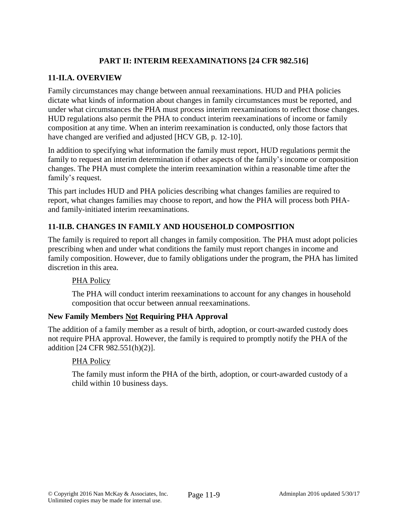# **PART II: INTERIM REEXAMINATIONS [24 CFR 982.516]**

## **11-II.A. OVERVIEW**

Family circumstances may change between annual reexaminations. HUD and PHA policies dictate what kinds of information about changes in family circumstances must be reported, and under what circumstances the PHA must process interim reexaminations to reflect those changes. HUD regulations also permit the PHA to conduct interim reexaminations of income or family composition at any time. When an interim reexamination is conducted, only those factors that have changed are verified and adjusted [HCV GB, p. 12-10].

In addition to specifying what information the family must report, HUD regulations permit the family to request an interim determination if other aspects of the family's income or composition changes. The PHA must complete the interim reexamination within a reasonable time after the family's request.

This part includes HUD and PHA policies describing what changes families are required to report, what changes families may choose to report, and how the PHA will process both PHAand family-initiated interim reexaminations.

# **11-II.B. CHANGES IN FAMILY AND HOUSEHOLD COMPOSITION**

The family is required to report all changes in family composition. The PHA must adopt policies prescribing when and under what conditions the family must report changes in income and family composition. However, due to family obligations under the program, the PHA has limited discretion in this area.

### PHA Policy

The PHA will conduct interim reexaminations to account for any changes in household composition that occur between annual reexaminations.

### **New Family Members Not Requiring PHA Approval**

The addition of a family member as a result of birth, adoption, or court-awarded custody does not require PHA approval. However, the family is required to promptly notify the PHA of the addition [24 CFR 982.551(h)(2)].

### PHA Policy

The family must inform the PHA of the birth, adoption, or court-awarded custody of a child within 10 business days.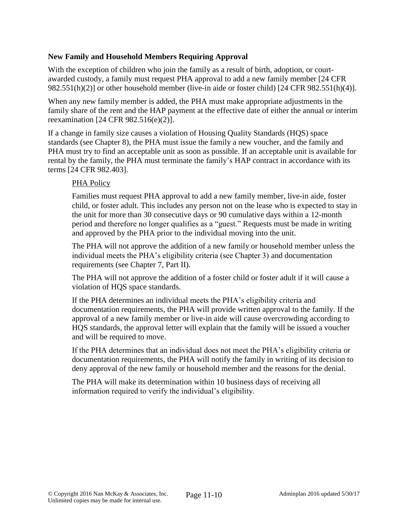### **New Family and Household Members Requiring Approval**

With the exception of children who join the family as a result of birth, adoption, or courtawarded custody, a family must request PHA approval to add a new family member [24 CFR 982.551(h)(2)] or other household member (live-in aide or foster child) [24 CFR 982.551(h)(4)].

When any new family member is added, the PHA must make appropriate adjustments in the family share of the rent and the HAP payment at the effective date of either the annual or interim reexamination [24 CFR 982.516(e)(2)].

If a change in family size causes a violation of Housing Quality Standards (HQS) space standards (see Chapter 8), the PHA must issue the family a new voucher, and the family and PHA must try to find an acceptable unit as soon as possible. If an acceptable unit is available for rental by the family, the PHA must terminate the family's HAP contract in accordance with its terms [24 CFR 982.403].

### PHA Policy

Families must request PHA approval to add a new family member, live-in aide, foster child, or foster adult. This includes any person not on the lease who is expected to stay in the unit for more than 30 consecutive days or 90 cumulative days within a 12-month period and therefore no longer qualifies as a "guest." Requests must be made in writing and approved by the PHA prior to the individual moving into the unit.

The PHA will not approve the addition of a new family or household member unless the individual meets the PHA's eligibility criteria (see Chapter 3) and documentation requirements (see Chapter 7, Part II).

The PHA will not approve the addition of a foster child or foster adult if it will cause a violation of HQS space standards.

If the PHA determines an individual meets the PHA's eligibility criteria and documentation requirements, the PHA will provide written approval to the family. If the approval of a new family member or live-in aide will cause overcrowding according to HQS standards, the approval letter will explain that the family will be issued a voucher and will be required to move.

If the PHA determines that an individual does not meet the PHA's eligibility criteria or documentation requirements, the PHA will notify the family in writing of its decision to deny approval of the new family or household member and the reasons for the denial.

The PHA will make its determination within 10 business days of receiving all information required to verify the individual's eligibility.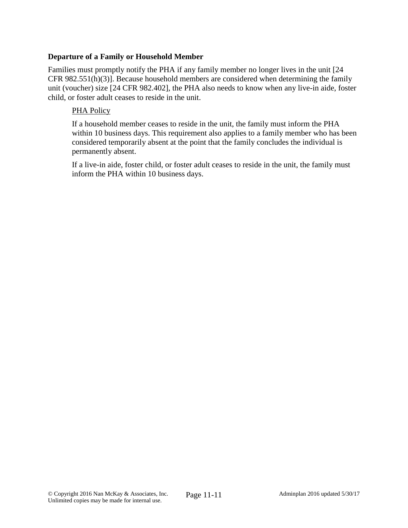#### **Departure of a Family or Household Member**

Families must promptly notify the PHA if any family member no longer lives in the unit [24 CFR 982.551(h)(3)]. Because household members are considered when determining the family unit (voucher) size [24 CFR 982.402], the PHA also needs to know when any live-in aide, foster child, or foster adult ceases to reside in the unit.

#### PHA Policy

If a household member ceases to reside in the unit, the family must inform the PHA within 10 business days. This requirement also applies to a family member who has been considered temporarily absent at the point that the family concludes the individual is permanently absent.

If a live-in aide, foster child, or foster adult ceases to reside in the unit, the family must inform the PHA within 10 business days.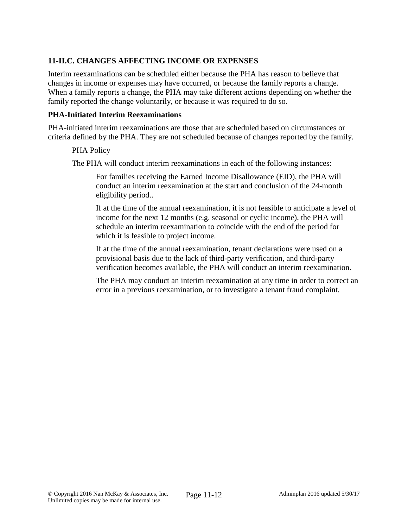# **11-II.C. CHANGES AFFECTING INCOME OR EXPENSES**

Interim reexaminations can be scheduled either because the PHA has reason to believe that changes in income or expenses may have occurred, or because the family reports a change. When a family reports a change, the PHA may take different actions depending on whether the family reported the change voluntarily, or because it was required to do so.

#### **PHA-Initiated Interim Reexaminations**

PHA-initiated interim reexaminations are those that are scheduled based on circumstances or criteria defined by the PHA. They are not scheduled because of changes reported by the family.

#### PHA Policy

The PHA will conduct interim reexaminations in each of the following instances:

For families receiving the Earned Income Disallowance (EID), the PHA will conduct an interim reexamination at the start and conclusion of the 24-month eligibility period..

If at the time of the annual reexamination, it is not feasible to anticipate a level of income for the next 12 months (e.g. seasonal or cyclic income), the PHA will schedule an interim reexamination to coincide with the end of the period for which it is feasible to project income.

If at the time of the annual reexamination, tenant declarations were used on a provisional basis due to the lack of third-party verification, and third-party verification becomes available, the PHA will conduct an interim reexamination.

The PHA may conduct an interim reexamination at any time in order to correct an error in a previous reexamination, or to investigate a tenant fraud complaint.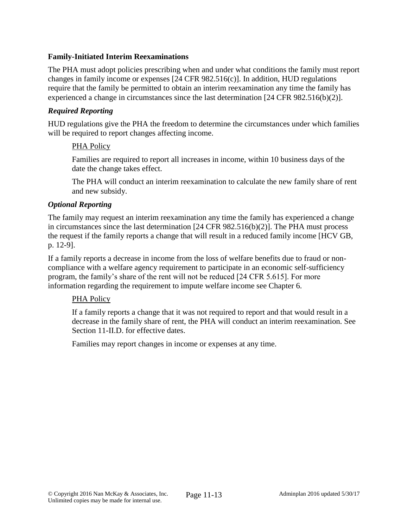### **Family-Initiated Interim Reexaminations**

The PHA must adopt policies prescribing when and under what conditions the family must report changes in family income or expenses [24 CFR 982.516(c)]. In addition, HUD regulations require that the family be permitted to obtain an interim reexamination any time the family has experienced a change in circumstances since the last determination [24 CFR 982.516(b)(2)].

#### *Required Reporting*

HUD regulations give the PHA the freedom to determine the circumstances under which families will be required to report changes affecting income.

#### PHA Policy

Families are required to report all increases in income, within 10 business days of the date the change takes effect.

The PHA will conduct an interim reexamination to calculate the new family share of rent and new subsidy.

#### *Optional Reporting*

The family may request an interim reexamination any time the family has experienced a change in circumstances since the last determination [24 CFR 982.516(b)(2)]. The PHA must process the request if the family reports a change that will result in a reduced family income [HCV GB, p. 12-9].

If a family reports a decrease in income from the loss of welfare benefits due to fraud or noncompliance with a welfare agency requirement to participate in an economic self-sufficiency program, the family's share of the rent will not be reduced [24 CFR 5.615]. For more information regarding the requirement to impute welfare income see Chapter 6.

### PHA Policy

If a family reports a change that it was not required to report and that would result in a decrease in the family share of rent, the PHA will conduct an interim reexamination. See Section 11-II.D. for effective dates.

Families may report changes in income or expenses at any time.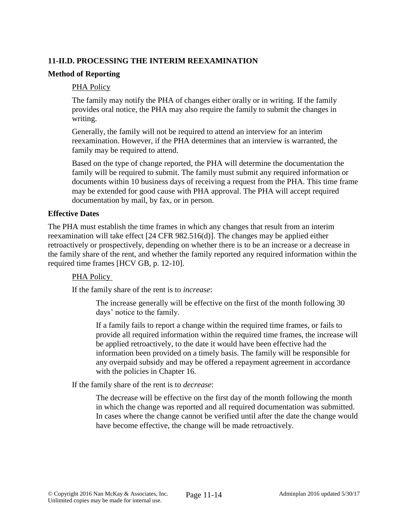## **11-II.D. PROCESSING THE INTERIM REEXAMINATION**

#### **Method of Reporting**

#### PHA Policy

The family may notify the PHA of changes either orally or in writing. If the family provides oral notice, the PHA may also require the family to submit the changes in writing.

Generally, the family will not be required to attend an interview for an interim reexamination. However, if the PHA determines that an interview is warranted, the family may be required to attend.

Based on the type of change reported, the PHA will determine the documentation the family will be required to submit. The family must submit any required information or documents within 10 business days of receiving a request from the PHA. This time frame may be extended for good cause with PHA approval. The PHA will accept required documentation by mail, by fax, or in person.

#### **Effective Dates**

The PHA must establish the time frames in which any changes that result from an interim reexamination will take effect [24 CFR 982.516(d)]. The changes may be applied either retroactively or prospectively, depending on whether there is to be an increase or a decrease in the family share of the rent, and whether the family reported any required information within the required time frames [HCV GB, p. 12-10].

### PHA Policy

If the family share of the rent is to *increase*:

The increase generally will be effective on the first of the month following 30 days' notice to the family.

If a family fails to report a change within the required time frames, or fails to provide all required information within the required time frames, the increase will be applied retroactively, to the date it would have been effective had the information been provided on a timely basis. The family will be responsible for any overpaid subsidy and may be offered a repayment agreement in accordance with the policies in Chapter 16.

If the family share of the rent is to *decrease*:

The decrease will be effective on the first day of the month following the month in which the change was reported and all required documentation was submitted. In cases where the change cannot be verified until after the date the change would have become effective, the change will be made retroactively.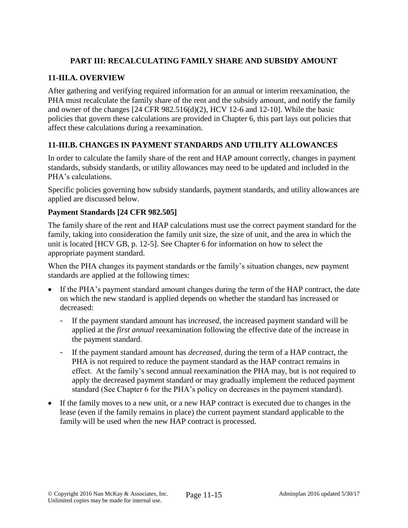# **PART III: RECALCULATING FAMILY SHARE AND SUBSIDY AMOUNT**

### **11-III.A. OVERVIEW**

After gathering and verifying required information for an annual or interim reexamination, the PHA must recalculate the family share of the rent and the subsidy amount, and notify the family and owner of the changes [24 CFR 982.516(d)(2), HCV 12-6 and 12-10]. While the basic policies that govern these calculations are provided in Chapter 6, this part lays out policies that affect these calculations during a reexamination.

## **11-III.B. CHANGES IN PAYMENT STANDARDS AND UTILITY ALLOWANCES**

In order to calculate the family share of the rent and HAP amount correctly, changes in payment standards, subsidy standards, or utility allowances may need to be updated and included in the PHA's calculations.

Specific policies governing how subsidy standards, payment standards, and utility allowances are applied are discussed below.

### **Payment Standards [24 CFR 982.505]**

The family share of the rent and HAP calculations must use the correct payment standard for the family, taking into consideration the family unit size, the size of unit, and the area in which the unit is located [HCV GB, p. 12-5]. See Chapter 6 for information on how to select the appropriate payment standard.

When the PHA changes its payment standards or the family's situation changes, new payment standards are applied at the following times:

- If the PHA's payment standard amount changes during the term of the HAP contract, the date on which the new standard is applied depends on whether the standard has increased or decreased:
	- If the payment standard amount has i*ncreased,* the increased payment standard will be applied at the *first annual* reexamination following the effective date of the increase in the payment standard.
	- If the payment standard amount has *decreased*, during the term of a HAP contract, the PHA is not required to reduce the payment standard as the HAP contract remains in effect. At the family's second annual reexamination the PHA may, but is not required to apply the decreased payment standard or may gradually implement the reduced payment standard (See Chapter 6 for the PHA's policy on decreases in the payment standard).
- If the family moves to a new unit, or a new HAP contract is executed due to changes in the lease (even if the family remains in place) the current payment standard applicable to the family will be used when the new HAP contract is processed.